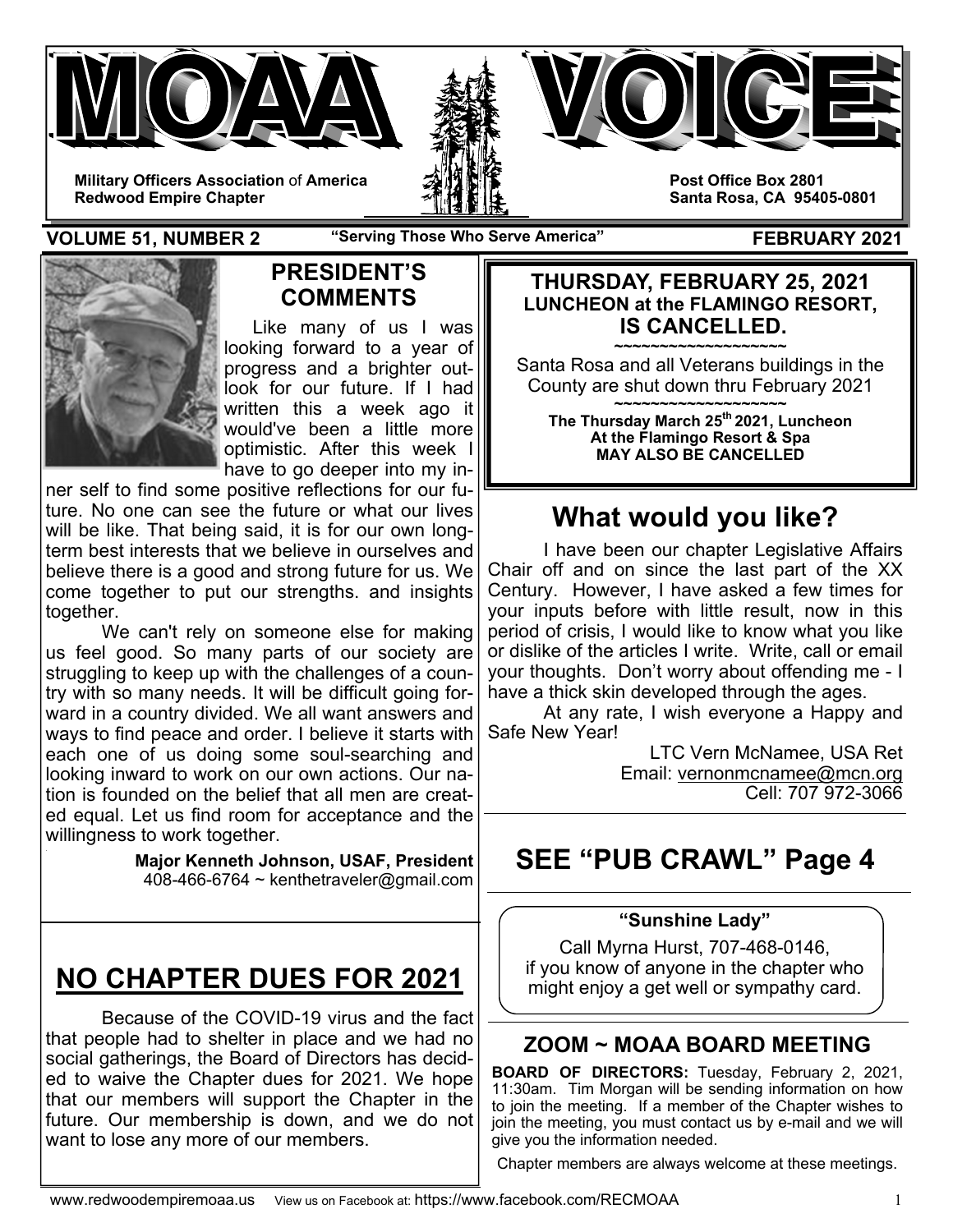





**Post Office Box 2801 Santa Rosa, CA 95405-0801** 

**VOLUME 51, NUMBER 2** "Serving Those Who Serve America" FEBRUARY 2021



## **PRESIDENT'S COMMENTS**

 Like many of us I was looking forward to a year of progress and a brighter outlook for our future. If I had written this a week ago it would've been a little more optimistic. After this week I have to go deeper into my in-

ner self to find some positive reflections for our future. No one can see the future or what our lives will be like. That being said, it is for our own longterm best interests that we believe in ourselves and believe there is a good and strong future for us. We come together to put our strengths. and insights together.

 We can't rely on someone else for making us feel good. So many parts of our society are struggling to keep up with the challenges of a country with so many needs. It will be difficult going forward in a country divided. We all want answers and ways to find peace and order. I believe it starts with each one of us doing some soul-searching and looking inward to work on our own actions. Our nation is founded on the belief that all men are created equal. Let us find room for acceptance and the willingness to work together.

> **Major Kenneth Johnson, USAF, President**  408-466-6764 ~ kenthetraveler@gmail.com

# **NO CHAPTER DUES FOR 2021**

Because of the COVID-19 virus and the fact that people had to shelter in place and we had no social gatherings, the Board of Directors has decided to waive the Chapter dues for 2021. We hope that our members will support the Chapter in the future. Our membership is down, and we do not want to lose any more of our members.

#### **THURSDAY, FEBRUARY 25, 2021 LUNCHEON at the FLAMINGO RESORT, IS CANCELLED.**

**~~~~~~~~~~~~~~~~~~~**  Santa Rosa and all Veterans buildings in the County are shut down thru February 2021

**~~~~~~~~~~~~~~~~~~~ The Thursday March 25th 2021, Luncheon At the Flamingo Resort & Spa MAY ALSO BE CANCELLED** 

# **What would you like?**

 I have been our chapter Legislative Affairs Chair off and on since the last part of the XX Century. However, I have asked a few times for your inputs before with little result, now in this period of crisis, I would like to know what you like or dislike of the articles I write. Write, call or email your thoughts. Don't worry about offending me - I have a thick skin developed through the ages.

 At any rate, I wish everyone a Happy and Safe New Year!

> LTC Vern McNamee, USA Ret Email: vernonmcnamee@mcn.org Cell: 707 972-3066

# **SEE "PUB CRAWL" Page 4**

### **"Sunshine Lady"**

Call Myrna Hurst, 707-468-0146, if you know of anyone in the chapter who might enjoy a get well or sympathy card.

# **ZOOM ~ MOAA BOARD MEETING**

**BOARD OF DIRECTORS:** Tuesday, February 2, 2021, 11:30am. Tim Morgan will be sending information on how to join the meeting. If a member of the Chapter wishes to join the meeting, you must contact us by e-mail and we will give you the information needed.

Chapter members are always welcome at these meetings.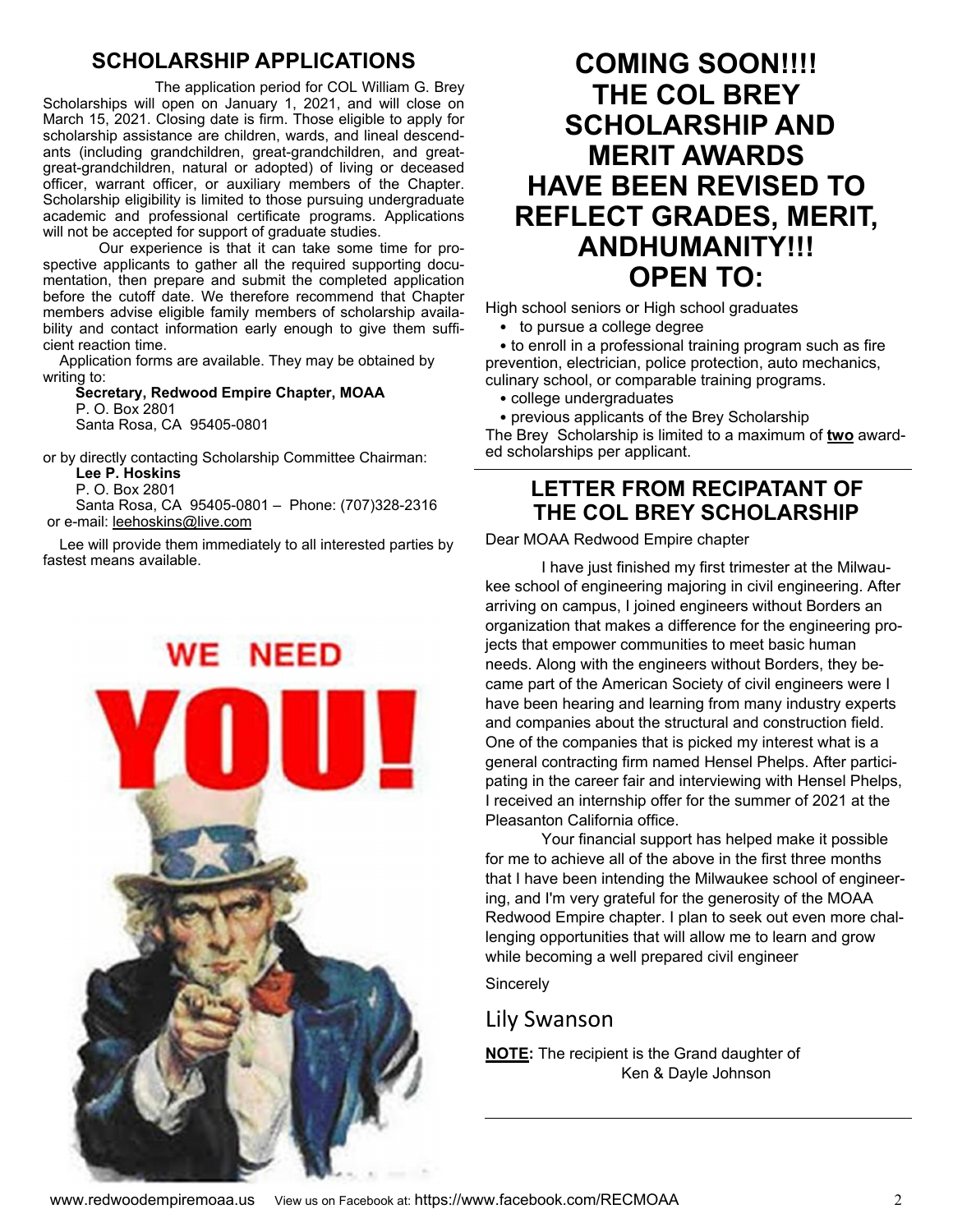### **SCHOLARSHIP APPLICATIONS**

 The application period for COL William G. Brey Scholarships will open on January 1, 2021, and will close on March 15, 2021. Closing date is firm. Those eligible to apply for scholarship assistance are children, wards, and lineal descendants (including grandchildren, great-grandchildren, and greatgreat-grandchildren, natural or adopted) of living or deceased officer, warrant officer, or auxiliary members of the Chapter. Scholarship eligibility is limited to those pursuing undergraduate academic and professional certificate programs. Applications will not be accepted for support of graduate studies.

Our experience is that it can take some time for prospective applicants to gather all the required supporting documentation, then prepare and submit the completed application before the cutoff date. We therefore recommend that Chapter members advise eligible family members of scholarship availability and contact information early enough to give them sufficient reaction time.

 Application forms are available. They may be obtained by writing to:

 **Secretary, Redwood Empire Chapter, MOAA** P. O. Box 2801 Santa Rosa, CA 95405-0801

or by directly contacting Scholarship Committee Chairman:

**Lee P. Hoskins**

 P. O. Box 2801 Santa Rosa, CA 95405-0801 – Phone: (707)328-2316 or e-mail: leehoskins@live.com

 Lee will provide them immediately to all interested parties by fastest means available.



# **COMING SOON!!!! THE COL BREY SCHOLARSHIP AND MERIT AWARDS HAVE BEEN REVISED TO REFLECT GRADES, MERIT, ANDHUMANITY!!! OPEN TO:**

High school seniors or High school graduates

• to pursue a college degree

• to enroll in a professional training program such as fire prevention, electrician, police protection, auto mechanics, culinary school, or comparable training programs.

- college undergraduates
- previous applicants of the Brey Scholarship

The Brey Scholarship is limited to a maximum of **two** awarded scholarships per applicant. j

## **LETTER FROM RECIPATANT OF THE COL BREY SCHOLARSHIP**

#### Dear MOAA Redwood Empire chapter

 I have just finished my first trimester at the Milwaukee school of engineering majoring in civil engineering. After arriving on campus, I joined engineers without Borders an organization that makes a difference for the engineering projects that empower communities to meet basic human needs. Along with the engineers without Borders, they became part of the American Society of civil engineers were I have been hearing and learning from many industry experts and companies about the structural and construction field. One of the companies that is picked my interest what is a general contracting firm named Hensel Phelps. After participating in the career fair and interviewing with Hensel Phelps, I received an internship offer for the summer of 2021 at the Pleasanton California office.

 Your financial support has helped make it possible for me to achieve all of the above in the first three months that I have been intending the Milwaukee school of engineering, and I'm very grateful for the generosity of the MOAA Redwood Empire chapter. I plan to seek out even more challenging opportunities that will allow me to learn and grow while becoming a well prepared civil engineer

**Sincerely** 

# Lily Swanson

**NOTE:** The recipient is the Grand daughter of Ken & Dayle Johnson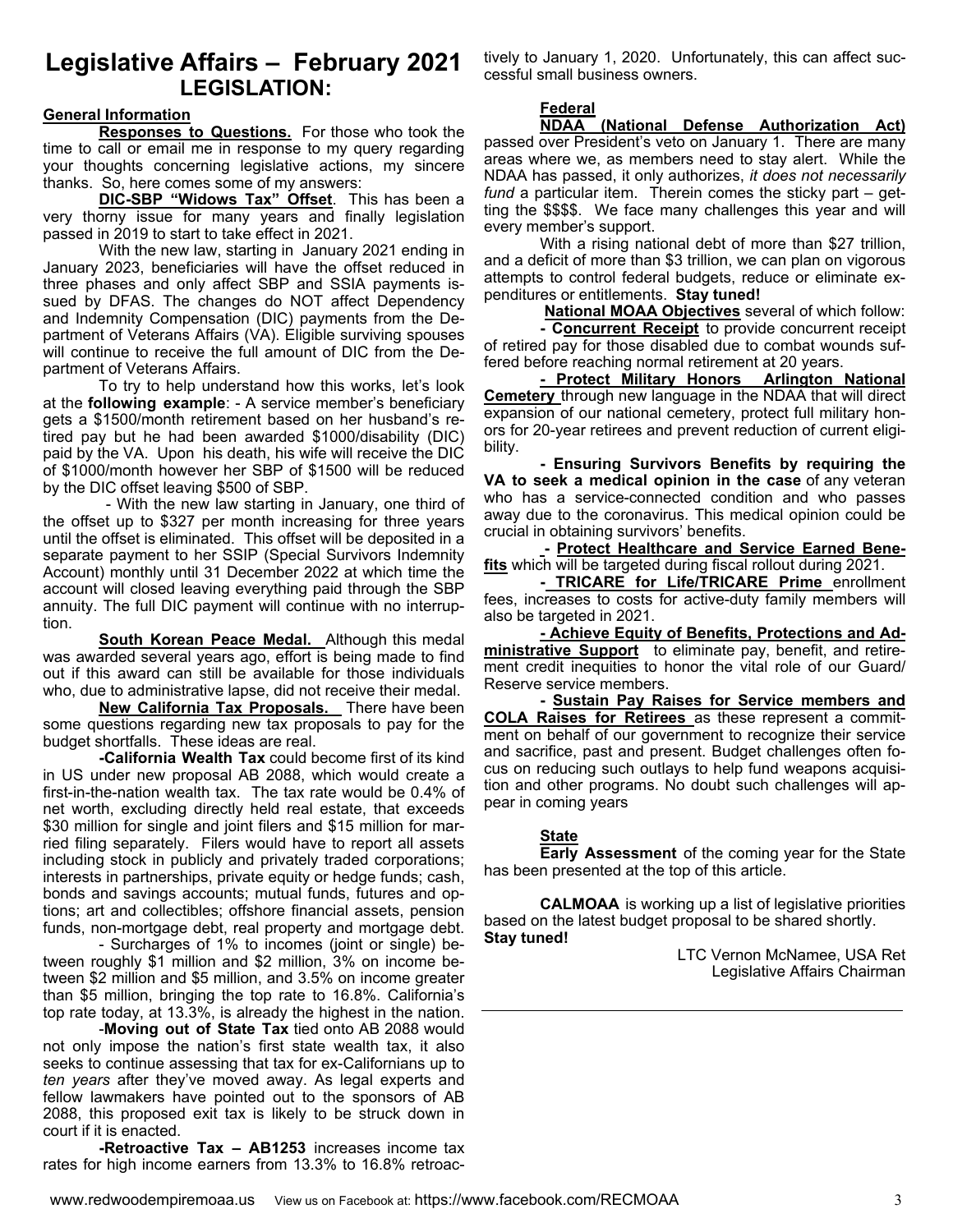### **Legislative Affairs – February 2021 LEGISLATION:**

#### **General Information**

 **Responses to Questions.** For those who took the time to call or email me in response to my query regarding your thoughts concerning legislative actions, my sincere thanks. So, here comes some of my answers:

**DIC-SBP "Widows Tax" Offset**. This has been a very thorny issue for many years and finally legislation passed in 2019 to start to take effect in 2021.

 With the new law, starting in January 2021 ending in January 2023, beneficiaries will have the offset reduced in three phases and only affect SBP and SSIA payments issued by DFAS. The changes do NOT affect Dependency and Indemnity Compensation (DIC) payments from the Department of Veterans Affairs (VA). Eligible surviving spouses will continue to receive the full amount of DIC from the Department of Veterans Affairs.

 To try to help understand how this works, let's look at the **following example**: - A service member's beneficiary gets a \$1500/month retirement based on her husband's retired pay but he had been awarded \$1000/disability (DIC) paid by the VA. Upon his death, his wife will receive the DIC of \$1000/month however her SBP of \$1500 will be reduced by the DIC offset leaving \$500 of SBP.

 - With the new law starting in January, one third of the offset up to \$327 per month increasing for three years until the offset is eliminated. This offset will be deposited in a separate payment to her SSIP (Special Survivors Indemnity Account) monthly until 31 December 2022 at which time the account will closed leaving everything paid through the SBP annuity. The full DIC payment will continue with no interruption.

**South Korean Peace Medal.** Although this medal was awarded several years ago, effort is being made to find out if this award can still be available for those individuals who, due to administrative lapse, did not receive their medal.

**New California Tax Proposals.** There have been some questions regarding new tax proposals to pay for the budget shortfalls. These ideas are real.

**-California Wealth Tax** could become first of its kind in US under new proposal AB 2088, which would create a first-in-the-nation wealth tax. The tax rate would be 0.4% of net worth, excluding directly held real estate, that exceeds \$30 million for single and joint filers and \$15 million for married filing separately. Filers would have to report all assets including stock in publicly and privately traded corporations; interests in partnerships, private equity or hedge funds; cash, bonds and savings accounts; mutual funds, futures and options; art and collectibles; offshore financial assets, pension funds, non-mortgage debt, real property and mortgage debt.

 - Surcharges of 1% to incomes (joint or single) between roughly \$1 million and \$2 million, 3% on income between \$2 million and \$5 million, and 3.5% on income greater than \$5 million, bringing the top rate to 16.8%. California's top rate today, at 13.3%, is already the highest in the nation.

 -**Moving out of State Tax** tied onto AB 2088 would not only impose the nation's first state wealth tax, it also seeks to continue assessing that tax for ex-Californians up to *ten years* after they've moved away. As legal experts and fellow lawmakers have pointed out to the sponsors of AB 2088, this proposed exit tax is likely to be struck down in court if it is enacted.

**-Retroactive Tax – AB1253** increases income tax rates for high income earners from 13.3% to 16.8% retroactively to January 1, 2020. Unfortunately, this can affect successful small business owners.

#### **Federal**

**NDAA (National Defense Authorization Act)** 

passed over President's veto on January 1. There are many areas where we, as members need to stay alert. While the NDAA has passed, it only authorizes, *it does not necessarily fund* a particular item. Therein comes the sticky part – getting the \$\$\$\$. We face many challenges this year and will every member's support.

With a rising national debt of more than \$27 trillion, and a deficit of more than \$3 trillion, we can plan on vigorous attempts to control federal budgets, reduce or eliminate expenditures or entitlements. **Stay tuned!** 

**National MOAA Objectives** several of which follow:

**- Concurrent Receipt** to provide concurrent receipt of retired pay for those disabled due to combat wounds suffered before reaching normal retirement at 20 years.

**- Protect Military Honors Arlington National Cemetery** through new language in the NDAA that will direct expansion of our national cemetery, protect full military honors for 20-year retirees and prevent reduction of current eligibility.

**- Ensuring Survivors Benefits by requiring the VA to seek a medical opinion in the case** of any veteran who has a service-connected condition and who passes away due to the coronavirus. This medical opinion could be crucial in obtaining survivors' benefits.

 **- Protect Healthcare and Service Earned Benefits** which will be targeted during fiscal rollout during 2021.

- TRICARE for Life/TRICARE Prime enrollment fees, increases to costs for active-duty family members will also be targeted in 2021.

**- Achieve Equity of Benefits, Protections and Administrative Support** to eliminate pay, benefit, and retirement credit inequities to honor the vital role of our Guard/ Reserve service members.

**- Sustain Pay Raises for Service members and COLA Raises for Retirees** as these represent a commitment on behalf of our government to recognize their service and sacrifice, past and present. Budget challenges often focus on reducing such outlays to help fund weapons acquisition and other programs. No doubt such challenges will appear in coming years

#### **State**

**Early Assessment** of the coming year for the State has been presented at the top of this article.

**CALMOAA** is working up a list of legislative priorities based on the latest budget proposal to be shared shortly. **Stay tuned!** 

LTC Vernon McNamee, USA Ret Legislative Affairs Chairman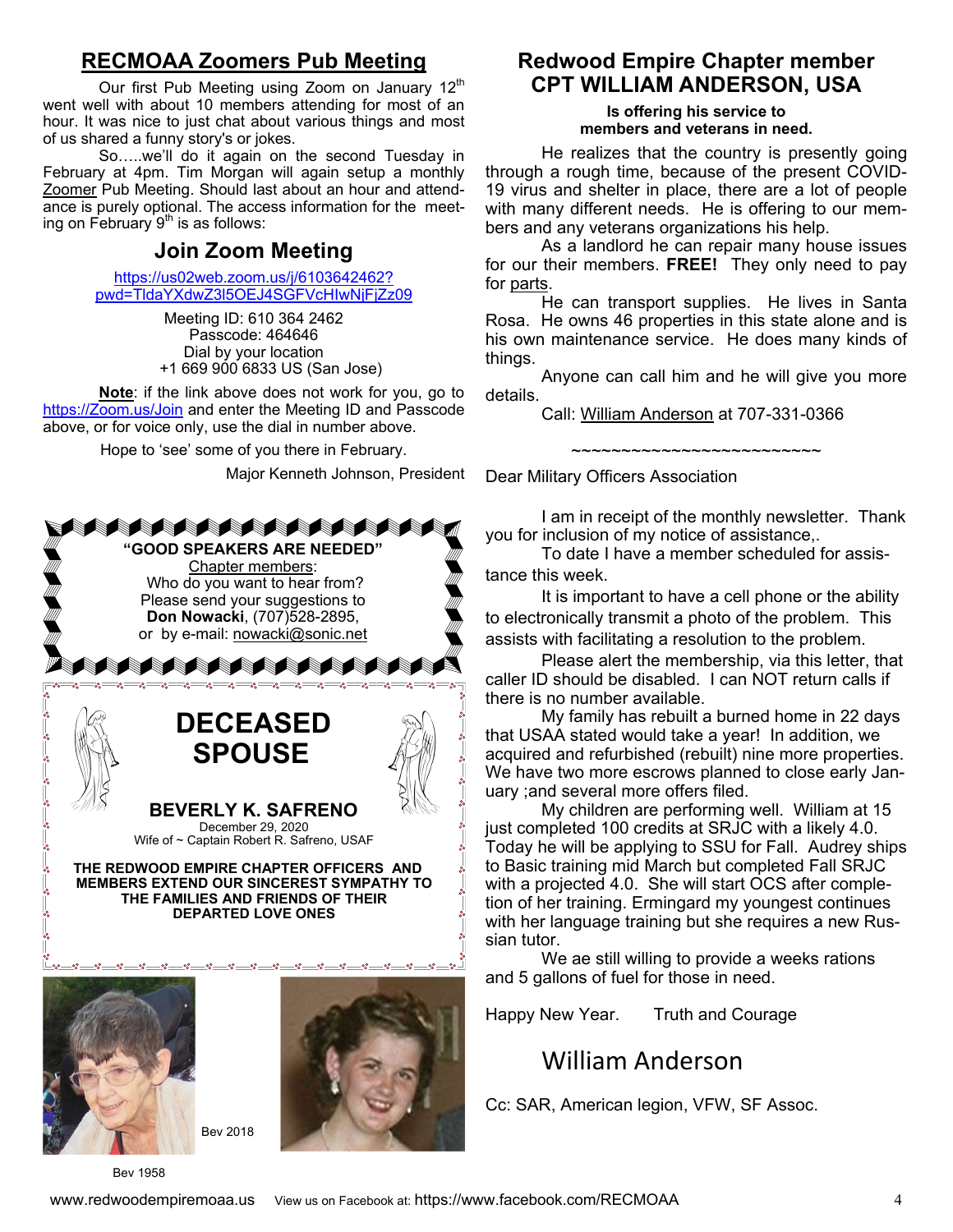### **RECMOAA Zoomers Pub Meeting**

Our first Pub Meeting using Zoom on January  $12<sup>th</sup>$ went well with about 10 members attending for most of an hour. It was nice to just chat about various things and most of us shared a funny story's or jokes.

 So…..we'll do it again on the second Tuesday in February at 4pm. Tim Morgan will again setup a monthly Zoomer Pub Meeting. Should last about an hour and attendance is purely optional. The access information for the meeting on February  $9<sup>th</sup>$  is as follows:

## **Join Zoom Meeting**

https://us02web.zoom.us/j/6103642462? pwd=TldaYXdwZ3l5OEJ4SGFVcHIwNjFjZz09

> Meeting ID: 610 364 2462 Passcode: 464646 Dial by your location +1 669 900 6833 US (San Jose)

**Note**: if the link above does not work for you, go to https://Zoom.us/Join and enter the Meeting ID and Passcode above, or for voice only, use the dial in number above.

Hope to 'see' some of you there in February.

Major Kenneth Johnson, President







Bev 1958

Bev 2018

### **Redwood Empire Chapter member CPT WILLIAM ANDERSON, USA**

**Is offering his service to members and veterans in need.** 

He realizes that the country is presently going through a rough time, because of the present COVID-19 virus and shelter in place, there are a lot of people with many different needs. He is offering to our members and any veterans organizations his help.

 As a landlord he can repair many house issues for our their members. **FREE!** They only need to pay for parts.

 He can transport supplies. He lives in Santa Rosa. He owns 46 properties in this state alone and is his own maintenance service. He does many kinds of things.

 Anyone can call him and he will give you more details.

~~~~~~~~~~~~~~~~~~~~~~~~~

Call: William Anderson at 707-331-0366

Dear Military Officers Association

 I am in receipt of the monthly newsletter. Thank you for inclusion of my notice of assistance,.

 To date I have a member scheduled for assistance this week.

 It is important to have a cell phone or the ability to electronically transmit a photo of the problem. This assists with facilitating a resolution to the problem.

 Please alert the membership, via this letter, that caller ID should be disabled. I can NOT return calls if there is no number available.

 My family has rebuilt a burned home in 22 days that USAA stated would take a year! In addition, we acquired and refurbished (rebuilt) nine more properties. We have two more escrows planned to close early January ;and several more offers filed.

 My children are performing well. William at 15 just completed 100 credits at SRJC with a likely 4.0. Today he will be applying to SSU for Fall. Audrey ships to Basic training mid March but completed Fall SRJC with a projected 4.0. She will start OCS after completion of her training. Ermingard my youngest continues with her language training but she requires a new Russian tutor.

 We ae still willing to provide a weeks rations and 5 gallons of fuel for those in need.

Happy New Year. Truth and Courage

# William Anderson

Cc: SAR, American legion, VFW, SF Assoc.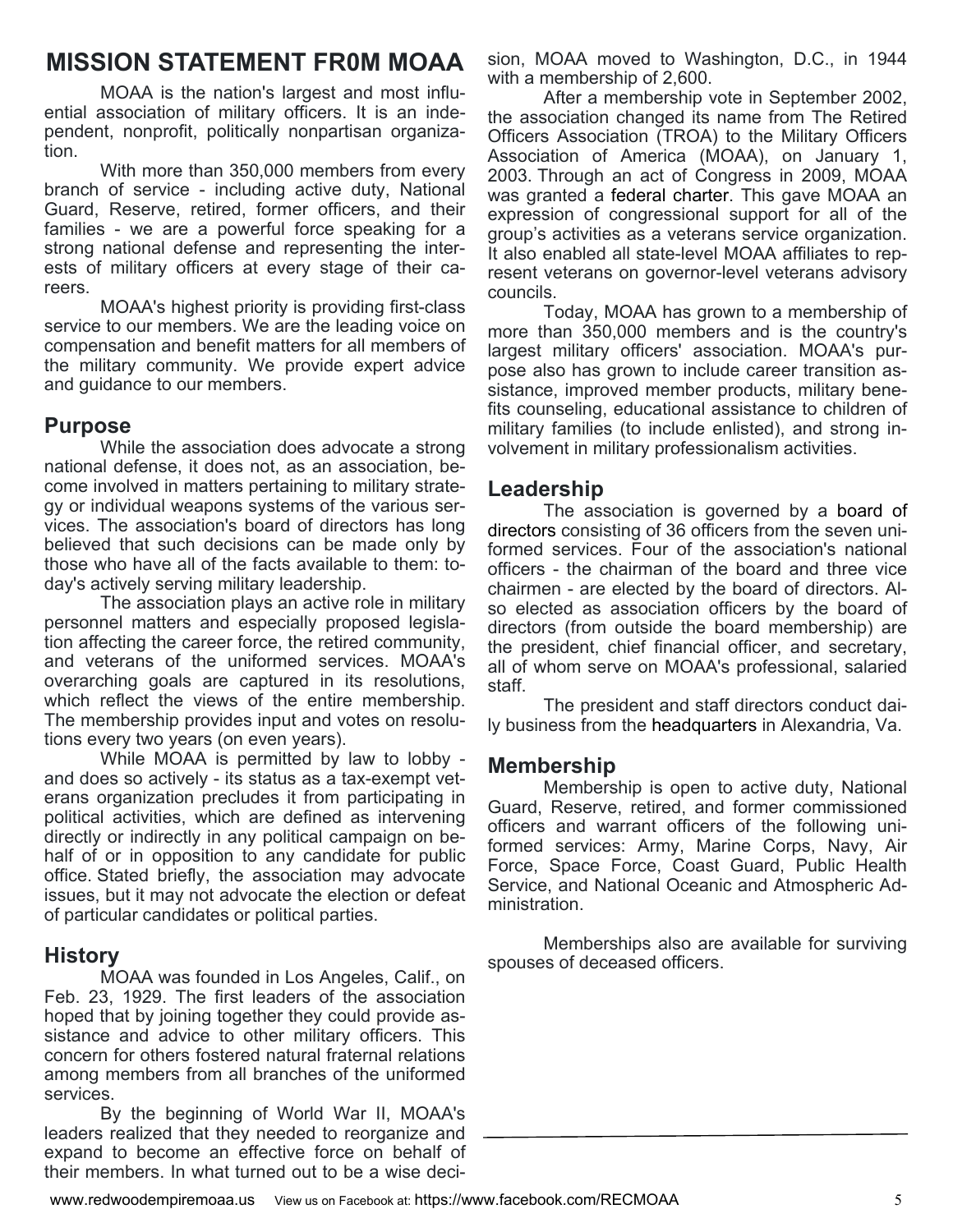# **MISSION STATEMENT FR0M MOAA**

MOAA is the nation's largest and most influential association of military officers. It is an independent, nonprofit, politically nonpartisan organization.

 With more than 350,000 members from every branch of service - including active duty, National Guard, Reserve, retired, former officers, and their families - we are a powerful force speaking for a strong national defense and representing the interests of military officers at every stage of their careers.

 MOAA's highest priority is providing first-class service to our members. We are the leading voice on compensation and benefit matters for all members of the military community. We provide expert advice and guidance to our members.

### **Purpose**

 While the association does advocate a strong national defense, it does not, as an association, become involved in matters pertaining to military strategy or individual weapons systems of the various services. The association's board of directors has long believed that such decisions can be made only by those who have all of the facts available to them: today's actively serving military leadership.

 The association plays an active role in military personnel matters and especially proposed legislation affecting the career force, the retired community, and veterans of the uniformed services. MOAA's overarching goals are captured in its resolutions, which reflect the views of the entire membership. The membership provides input and votes on resolutions every two years (on even years).

 While MOAA is permitted by law to lobby and does so actively - its status as a tax-exempt veterans organization precludes it from participating in political activities, which are defined as intervening directly or indirectly in any political campaign on behalf of or in opposition to any candidate for public office. Stated briefly, the association may advocate issues, but it may not advocate the election or defeat of particular candidates or political parties.

### **History**

 MOAA was founded in Los Angeles, Calif., on Feb. 23, 1929. The first leaders of the association hoped that by joining together they could provide assistance and advice to other military officers. This concern for others fostered natural fraternal relations among members from all branches of the uniformed services.

 By the beginning of World War II, MOAA's leaders realized that they needed to reorganize and expand to become an effective force on behalf of their members. In what turned out to be a wise decision, MOAA moved to Washington, D.C., in 1944 with a membership of 2,600.

 After a membership vote in September 2002, the association changed its name from The Retired Officers Association (TROA) to the Military Officers Association of America (MOAA), on January 1, 2003. Through an act of Congress in 2009, MOAA was granted a federal charter. This gave MOAA an expression of congressional support for all of the group's activities as a veterans service organization. It also enabled all state-level MOAA affiliates to represent veterans on governor-level veterans advisory councils.

 Today, MOAA has grown to a membership of more than 350,000 members and is the country's largest military officers' association. MOAA's purpose also has grown to include career transition assistance, improved member products, military benefits counseling, educational assistance to children of military families (to include enlisted), and strong involvement in military professionalism activities.

### **Leadership**

 The association is governed by a board of directors consisting of 36 officers from the seven uniformed services. Four of the association's national officers - the chairman of the board and three vice chairmen - are elected by the board of directors. Also elected as association officers by the board of directors (from outside the board membership) are the president, chief financial officer, and secretary, all of whom serve on MOAA's professional, salaried staff.

 The president and staff directors conduct daily business from the headquarters in Alexandria, Va.

### **Membership**

 Membership is open to active duty, National Guard, Reserve, retired, and former commissioned officers and warrant officers of the following uniformed services: Army, Marine Corps, Navy, Air Force, Space Force, Coast Guard, Public Health Service, and National Oceanic and Atmospheric Administration.

 Memberships also are available for surviving spouses of deceased officers.